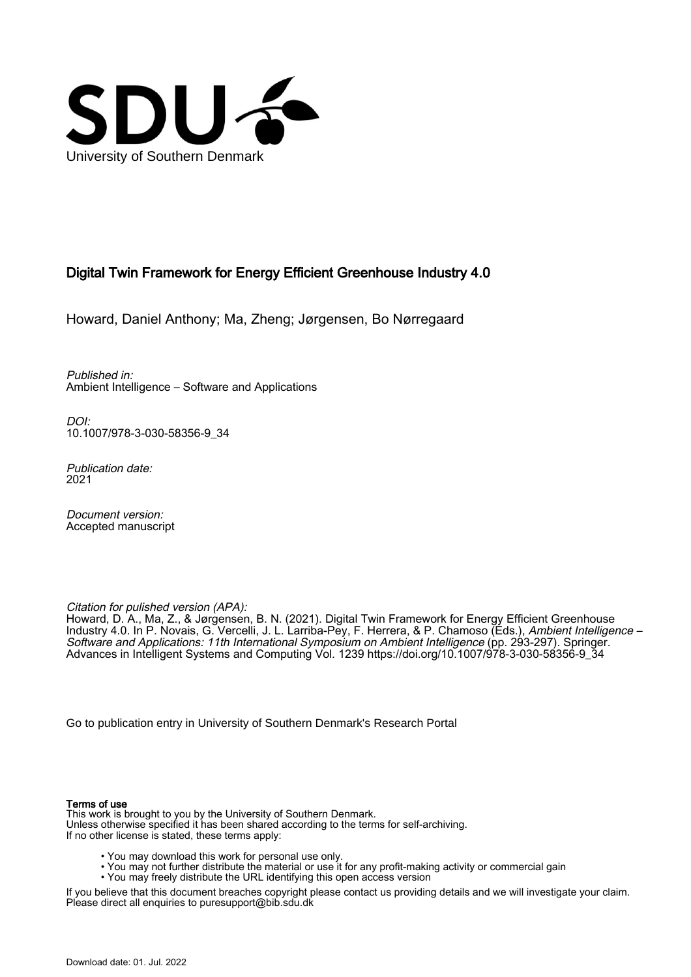

# Digital Twin Framework for Energy Efficient Greenhouse Industry 4.0

Howard, Daniel Anthony; Ma, Zheng; Jørgensen, Bo Nørregaard

Published in: Ambient Intelligence – Software and Applications

 $D$ [10.1007/978-3-030-58356-9\\_34](https://doi.org/10.1007/978-3-030-58356-9_34)

Publication date: 2021

Document version: Accepted manuscript

Citation for pulished version (APA):

Howard, D. A., Ma, Z., & Jørgensen, B. N. (2021). Digital Twin Framework for Energy Efficient Greenhouse Industry 4.0. In P. Novais, G. Vercelli, J. L. Larriba-Pey, F. Herrera, & P. Chamoso (Eds.), *Ambient Intelligence –* Software and Applications: 11th International Symposium on Ambient Intelligence (pp. 293-297). Springer. Advances in Intelligent Systems and Computing Vol. 1239 [https://doi.org/10.1007/978-3-030-58356-9\\_34](https://doi.org/10.1007/978-3-030-58356-9_34)

[Go to publication entry in University of Southern Denmark's Research Portal](https://portal.findresearcher.sdu.dk/en/publications/3196ceb3-105a-48aa-a919-24a42c1761e0)

#### Terms of use

This work is brought to you by the University of Southern Denmark. Unless otherwise specified it has been shared according to the terms for self-archiving. If no other license is stated, these terms apply:

- You may download this work for personal use only.
- You may not further distribute the material or use it for any profit-making activity or commercial gain
- You may freely distribute the URL identifying this open access version

If you believe that this document breaches copyright please contact us providing details and we will investigate your claim. Please direct all enquiries to puresupport@bib.sdu.dk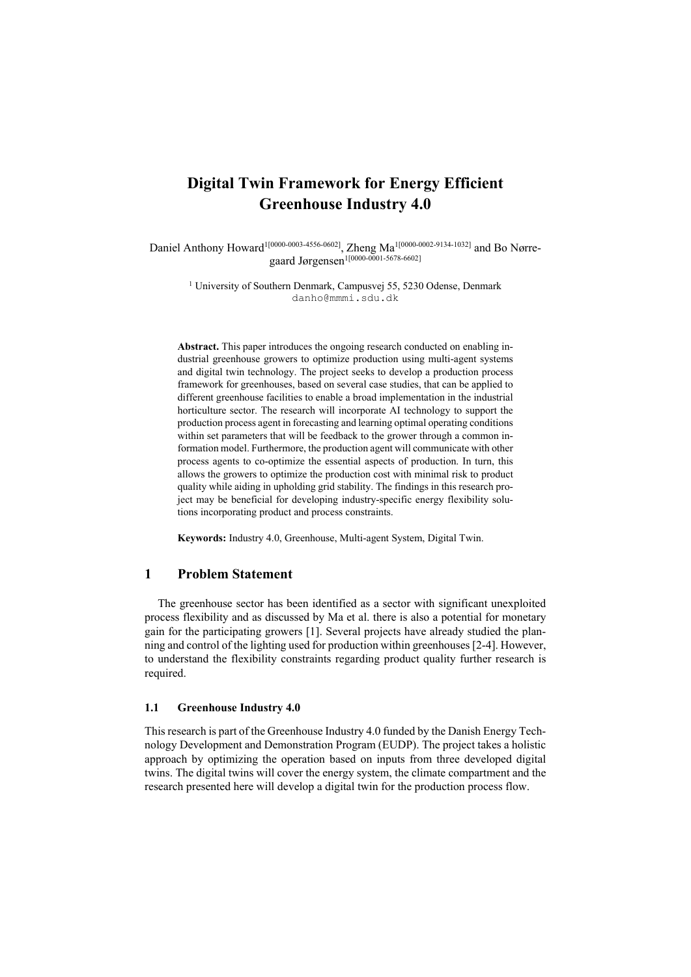# **Digital Twin Framework for Energy Efficient Greenhouse Industry 4.0**

Daniel Anthony Howard<sup>1[0000-0003-4556-0602]</sup>, Zheng Ma<sup>1[0000-0002-9134-1032]</sup> and Bo Nørregaard Jørgensen<sup>1[0000-0001-5678-6602]</sup>

<sup>1</sup> University of Southern Denmark, Campusvej 55, 5230 Odense, Denmark [danho@mmmi.sdu.dk](mailto:danho@mmmi.sdu.dk)

**Abstract.** This paper introduces the ongoing research conducted on enabling industrial greenhouse growers to optimize production using multi-agent systems and digital twin technology. The project seeks to develop a production process framework for greenhouses, based on several case studies, that can be applied to different greenhouse facilities to enable a broad implementation in the industrial horticulture sector. The research will incorporate AI technology to support the production process agent in forecasting and learning optimal operating conditions within set parameters that will be feedback to the grower through a common information model. Furthermore, the production agent will communicate with other process agents to co-optimize the essential aspects of production. In turn, this allows the growers to optimize the production cost with minimal risk to product quality while aiding in upholding grid stability. The findings in this research project may be beneficial for developing industry-specific energy flexibility solutions incorporating product and process constraints.

**Keywords:** Industry 4.0, Greenhouse, Multi-agent System, Digital Twin.

### **1 Problem Statement**

The greenhouse sector has been identified as a sector with significant unexploited process flexibility and as discussed by Ma et al. there is also a potential for monetary gain for the participating growers [1]. Several projects have already studied the planning and control of the lighting used for production within greenhouses [2-4]. However, to understand the flexibility constraints regarding product quality further research is required.

### **1.1 Greenhouse Industry 4.0**

This research is part of the Greenhouse Industry 4.0 funded by the Danish Energy Technology Development and Demonstration Program (EUDP). The project takes a holistic approach by optimizing the operation based on inputs from three developed digital twins. The digital twins will cover the energy system, the climate compartment and the research presented here will develop a digital twin for the production process flow.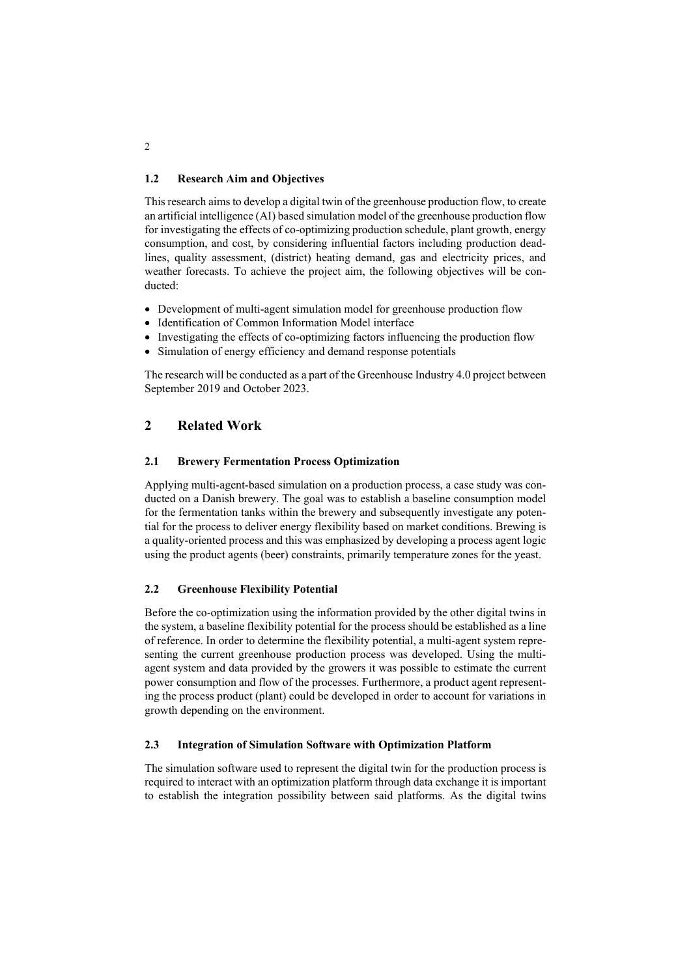### **1.2 Research Aim and Objectives**

This research aimsto develop a digital twin of the greenhouse production flow, to create an artificial intelligence (AI) based simulation model of the greenhouse production flow for investigating the effects of co-optimizing production schedule, plant growth, energy consumption, and cost, by considering influential factors including production deadlines, quality assessment, (district) heating demand, gas and electricity prices, and weather forecasts. To achieve the project aim, the following objectives will be conducted:

- Development of multi-agent simulation model for greenhouse production flow
- Identification of Common Information Model interface
- Investigating the effects of co-optimizing factors influencing the production flow
- Simulation of energy efficiency and demand response potentials

The research will be conducted as a part of the Greenhouse Industry 4.0 project between September 2019 and October 2023.

# **2 Related Work**

#### **2.1 Brewery Fermentation Process Optimization**

Applying multi-agent-based simulation on a production process, a case study was conducted on a Danish brewery. The goal was to establish a baseline consumption model for the fermentation tanks within the brewery and subsequently investigate any potential for the process to deliver energy flexibility based on market conditions. Brewing is a quality-oriented process and this was emphasized by developing a process agent logic using the product agents (beer) constraints, primarily temperature zones for the yeast.

### **2.2 Greenhouse Flexibility Potential**

Before the co-optimization using the information provided by the other digital twins in the system, a baseline flexibility potential for the process should be established as a line of reference. In order to determine the flexibility potential, a multi-agent system representing the current greenhouse production process was developed. Using the multiagent system and data provided by the growers it was possible to estimate the current power consumption and flow of the processes. Furthermore, a product agent representing the process product (plant) could be developed in order to account for variations in growth depending on the environment.

#### **2.3 Integration of Simulation Software with Optimization Platform**

The simulation software used to represent the digital twin for the production process is required to interact with an optimization platform through data exchange it is important to establish the integration possibility between said platforms. As the digital twins

2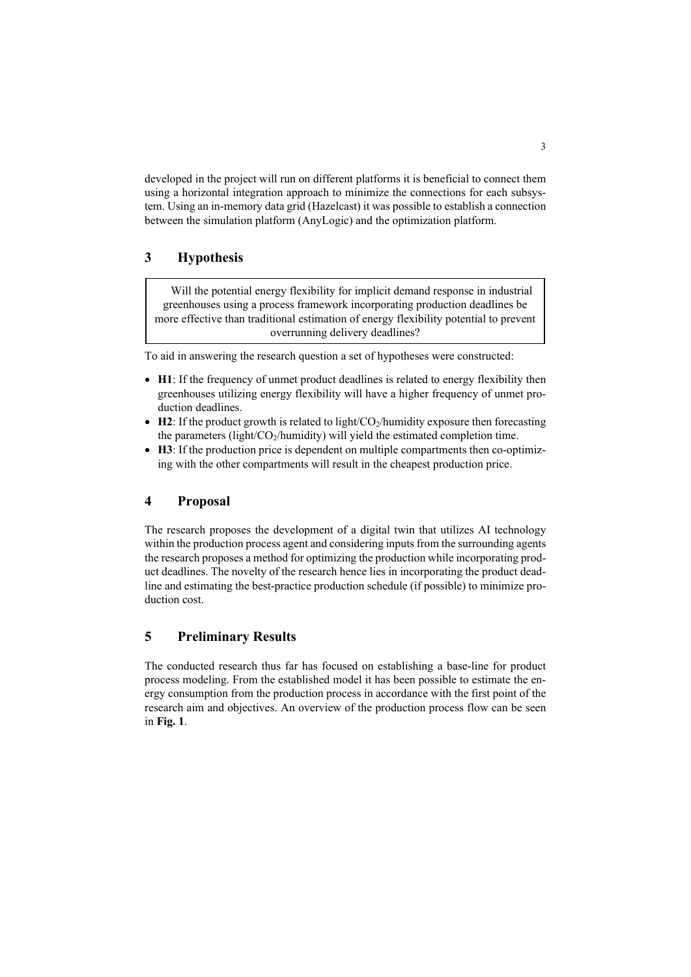developed in the project will run on different platforms it is beneficial to connect them using a horizontal integration approach to minimize the connections for each subsystem. Using an in-memory data grid (Hazelcast) it was possible to establish a connection between the simulation platform (AnyLogic) and the optimization platform.

# **3 Hypothesis**

Will the potential energy flexibility for implicit demand response in industrial greenhouses using a process framework incorporating production deadlines be more effective than traditional estimation of energy flexibility potential to prevent overrunning delivery deadlines?

To aid in answering the research question a set of hypotheses were constructed:

- **H1**: If the frequency of unmet product deadlines is related to energy flexibility then greenhouses utilizing energy flexibility will have a higher frequency of unmet production deadlines.
- **H2**: If the product growth is related to light/ $CO_2$ /humidity exposure then forecasting the parameters (light/ $CO<sub>2</sub>/humidity$ ) will yield the estimated completion time.
- **H3**: If the production price is dependent on multiple compartments then co-optimizing with the other compartments will result in the cheapest production price.

# **4 Proposal**

The research proposes the development of a digital twin that utilizes AI technology within the production process agent and considering inputs from the surrounding agents the research proposes a method for optimizing the production while incorporating product deadlines. The novelty of the research hence lies in incorporating the product deadline and estimating the best-practice production schedule (if possible) to minimize production cost.

# **5 Preliminary Results**

The conducted research thus far has focused on establishing a base-line for product process modeling. From the established model it has been possible to estimate the energy consumption from the production process in accordance with the first point of the research aim and objectives. An overview of the production process flow can be seen in **[Fig. 1](#page-4-0)**.